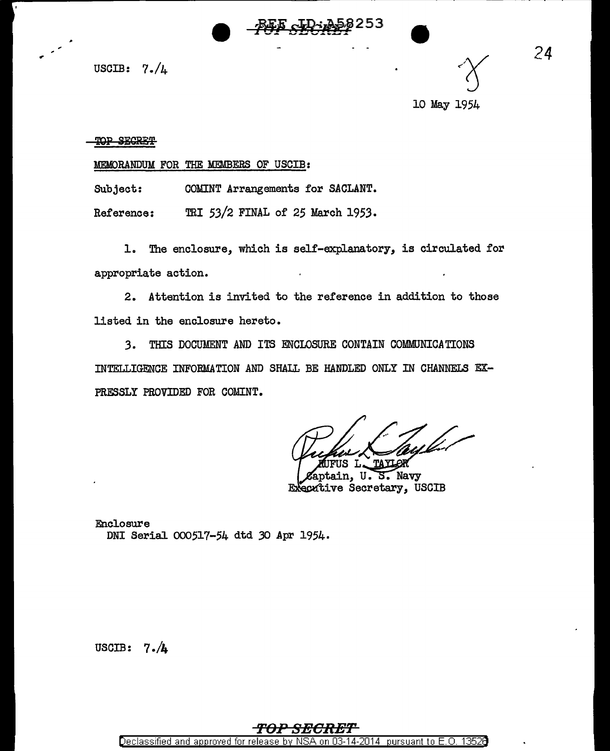

USCIB:  $7./4$ 

10 May 1954

## TOP SECRET

MEMORANDUM FOR THE MEMBERS OF USCIB:

Subject: COMINT Arrangements for SACLANT.

Reference: TRI 53/2 FINAL of 25 March 1953.

1. The enclosure, which is self-explanatory, is circulated for appropriate action.

2. Attention is invited to the reference in addition to those listed in the enclosure hereto.

*3.* THIS DOCUMENT AND ITS ENCLOSURE CONTAIN COMMUNICATIONS INTELLIGENCE INFORMATION AND SHAU. BE HANDLED ONLY IN CHANNELS EX-PRESSLY PROVIDED FOR COMINT.

ain. U.  $5.$  Navy Executive Secretary, USCIB

Enclosure DNI Serial 000517-54 dtd *30* Apr 1954.

USCIB: 7 **./4** 

## **'FOP SBORE'F**

Declassified and approved for release by NSA on 03-14-2014 pursuant to E.O. 13526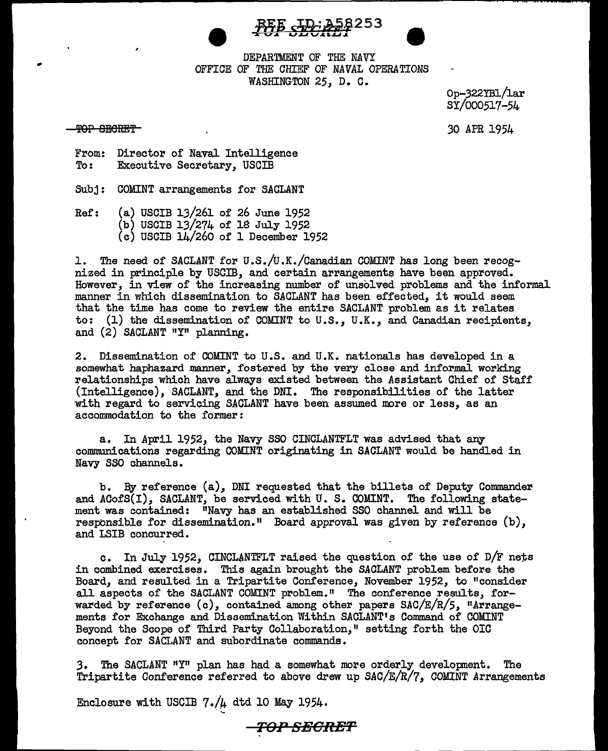



DEPARTMENT OF THE NAVY OFFICE OF THE CHIEF OF *NAVAL* OPERATIONS WASHINGTON 25, D. C.

> Op-322YB1/lar SY/000517-54

*30* APR 1954

TOP SECRET

From: Director of Naval Intelligence<br>To: Executive Secretary. USCIB Executive Secretary, USCIB

SUbj: COMINT arrangements for SACLANT

Ref: (a) USCIB 13/261 of 26 June 1952 (b) USCIB 13/274 of 18 July 1952 (c) USCIB 14/260 of 1 December 1952

1. The need of SACLANT for U.S./U.K./Canadian COMINT has long been recognized in principle by USCIB, and certain arrangements have been approved. However, in view of the increasing number of unsolved problems and the informal manner in which dissemination to SACLANT has been effected, it would seem that the time has come to review the entire SACLANT problem as it relates to: (1) the dissemination of COMINT to U.S., U.K., and Canadian recipients, and (2) SACLANT "Y" planning.

2. Dissemination of COMINT to U.S. and U.K. nationals has developed in a somewhat haphazard manner, fostered by the very close and informal working relationships which have always existed between the Assistant Chief of Staff (Intelligence), SACLANT, and the DNI. The responsibilities of the latter with regard to servicing SACLANT have been assumed more or less, as an accommodation to the former:

a. In April 1952, the Navy SSO CINCLANTFLT was advised that any communications regarding COMINT originating in SACLANT would be handled in Navy SSO channels.

b. By reference (a), DNI requested that the billets of Deputy Conunander and ACofS(I), SACLANT, be serviced with U. S. COMINT. The following statement was contained: "Navy has an established SSO channel and will be responsible for dissemination." Board approval was given by reference  $(b)$ , and LSIB concurred.

c. In July 1952, CINCLANTFLT raised the question of the use of D/F nets in combined exercises. This again brought the SACLANT problem before the Board, and resulted in a Tripartite Conference, November 1952, to "consider all aspects of the SACLANT COMINT problem." The conference results, forwarded by reference (c), contained among other papers SAC/E/R/5, "Arrangements for Exchange and Dissemination Within SACLANT's Command of COMINT Beyond the Scope of Third Party Collaboration," setting forth the OIC concept for SACLANT and subordinate commands.

3. The SACLANT "Y" plan has had a somewhat more orderly development. The Tripartite Conference referred to above drew up  $SAC/E/R/7$ , COMINT Arrangements

Enclosure with USCIB  $7./\mu$  dtd 10 May 1954.

T<>.P **SECRET**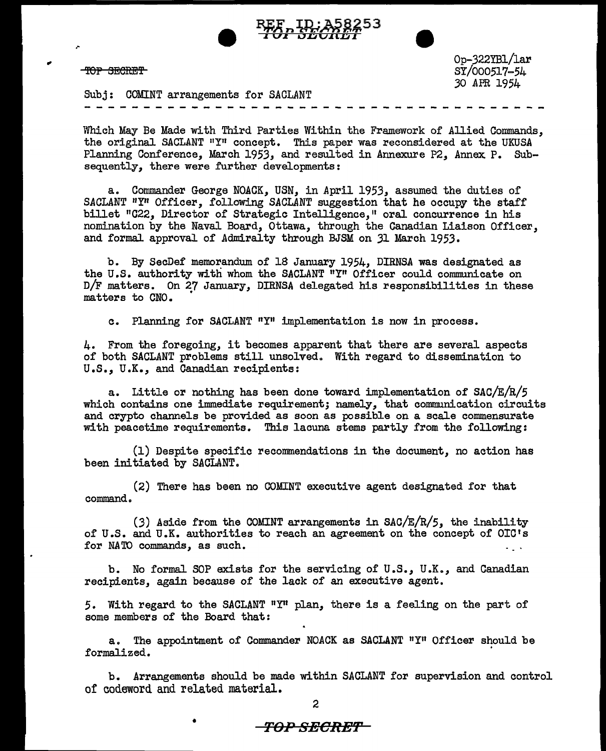

TOP SECRET

.-

Op-322YB1/lar SY/000517~54 30 APR 1954

Subj: COMINT arrangements for SACLANT

Which May Be Made with Third Parties Within the Framework of Allied Commands, the original SACLANT "Y" concept. This paper was reconsidered at the UKUSA Planning Conference, March 1953, and resulted in Annexure P2, Annex P. Subsequently, there were further developments:

a. Commander George NOACK, USN, in April 1953, assumed the duties of SACLANT "Y" Officer, following SACLANT suggestion that he occupy the staff billet "C22, Director of Strategic Intelligence," oral concurrence in his nomination by the Naval Board, Ottawa, through the Canadian Liaison Officer, and formal approval of Admiralty through BJSM on 31 March 1953.

b. By SecDef memorandum of 18 January 1954, DIRNSA was designated as the U.S. authority with whom the SACLANT "Y" Officer could communicate on D/F matters. On 27 January, DIRNSA delegated his responsibilities in these matters to CNO. •

c. Planning for SACLANT "Y" implementation is now in process.

4. From the foregoing, it becomes apparent that there are several aspects of both SACLANT problems still unsolved. With regard to dissemination to U.S., U.K., and Canadian recipients:

a. Little or nothing has been done toward implementation of  $SAC/E/R/5$ which contains one immediate requirement; namely, that communication circuits and crypto channels be provided as soon as possible on a scale commensurate with peacetime requirements. This lacuna stems partly from the following:

(1) Despite specific recommendations in the document, no action has been initiated by SACLANT.

(2) There has been no COMINT executive agent designated for that command.

(3) Aside from the COMINT arrangements in SAC/E/R/5, the inability of U.S. and U.K. authorities to reach an agreement on the concept of OIC's for NATO commands, as such.

b. No formal SOP exists for the servicing of U.S., U.K., and Canadian recipients, again because of the lack of an executive agent.

5. With regard to the SACLANT "Y" plan, there is a feeling on the part of some members of the Board that:

a. The appointment of Commander NOACK as SACLANT "Y" Officer should be formalized. ·

b. Arrangements should be made within SACLANT for supervision and control of codeword and related material.

## • **TO-P SEOR:E'F**